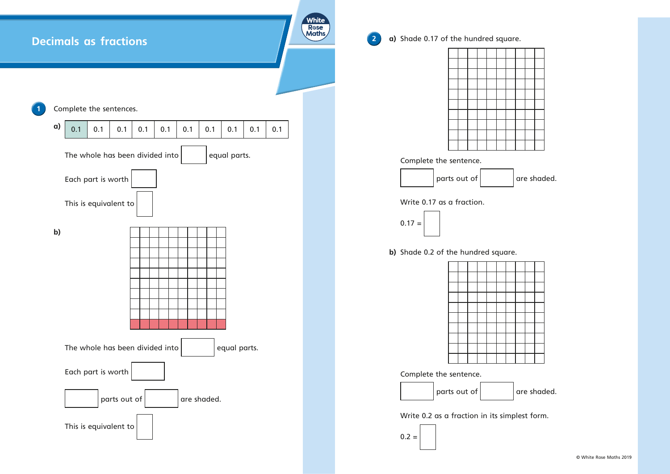